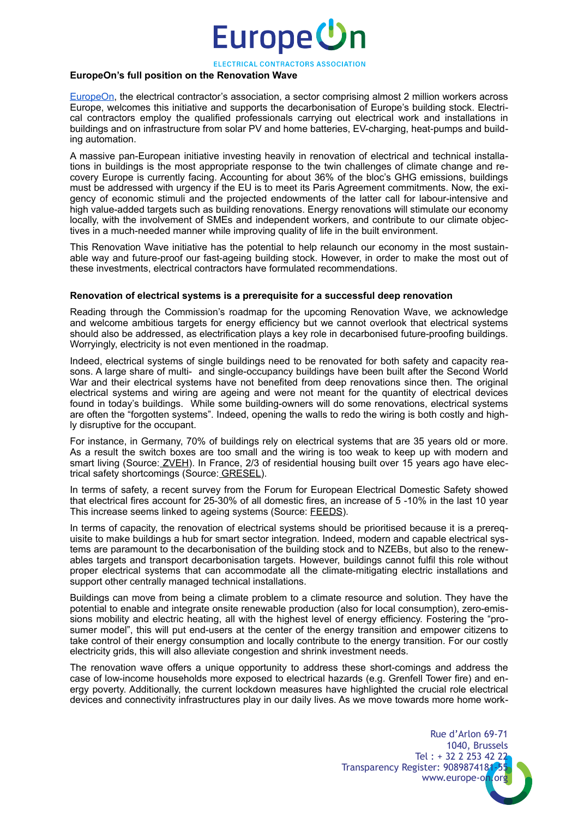## Europe<sup>(</sup>

ELECTRICAL CONTRACTORS ASSOCIATION

### **EuropeOn's full position on the Renovation Wave**

[EuropeOn,](https://europe-on.org/) the electrical contractor's association, a sector comprising almost 2 million workers across Europe, welcomes this initiative and supports the decarbonisation of Europe's building stock. Electrical contractors employ the qualified professionals carrying out electrical work and installations in buildings and on infrastructure from solar PV and home batteries, EV-charging, heat-pumps and building automation.

A massive pan-European initiative investing heavily in renovation of electrical and technical installations in buildings is the most appropriate response to the twin challenges of climate change and recovery Europe is currently facing. Accounting for about 36% of the bloc's GHG emissions, buildings must be addressed with urgency if the EU is to meet its Paris Agreement commitments. Now, the exigency of economic stimuli and the projected endowments of the latter call for labour-intensive and high value-added targets such as building renovations. Energy renovations will stimulate our economy locally, with the involvement of SMEs and independent workers, and contribute to our climate objectives in a much-needed manner while improving quality of life in the built environment.

This Renovation Wave initiative has the potential to help relaunch our economy in the most sustainable way and future-proof our fast-ageing building stock. However, in order to make the most out of these investments, electrical contractors have formulated recommendations.

#### **Renovation of electrical systems is a prerequisite for a successful deep renovation**

Reading through the Commission's roadmap for the upcoming Renovation Wave, we acknowledge and welcome ambitious targets for energy efficiency but we cannot overlook that electrical systems should also be addressed, as electrification plays a key role in decarbonised future-proofing buildings. Worryingly, electricity is not even mentioned in the roadmap.

Indeed, electrical systems of single buildings need to be renovated for both safety and capacity reasons. A large share of multi- and single-occupancy buildings have been built after the Second World War and their electrical systems have not benefited from deep renovations since then. The original electrical systems and wiring are ageing and were not meant for the quantity of electrical devices found in today's buildings. While some building-owners will do some renovations, electrical systems are often the "forgotten systems". Indeed, opening the walls to redo the wiring is both costly and highly disruptive for the occupant.

For instance, in Germany, 70% of buildings rely on electrical systems that are 35 years old or more. As a result the switch boxes are too small and the wiring is too weak to keep up with modern and smart living (Source[: ZVEH](https://www.zveh.de/)). In France, 2/3 of residential housing built over 15 years ago have electrical safety shortcomings (Source[: GRESEL\)](http://www.gresel.org/).

In terms of safety, a recent survey from the Forum for European Electrical Domestic Safety showed that electrical fires account for 25-30% of all domestic fires, an increase of 5 -10% in the last 10 year This increase seems linked to ageing systems (Source: [FEEDS\)](https://www.feedsnet.org/).

In terms of capacity, the renovation of electrical systems should be prioritised because it is a prerequisite to make buildings a hub for smart sector integration. Indeed, modern and capable electrical systems are paramount to the decarbonisation of the building stock and to NZEBs, but also to the renewables targets and transport decarbonisation targets. However, buildings cannot fulfil this role without proper electrical systems that can accommodate all the climate-mitigating electric installations and support other centrally managed technical installations.

Buildings can move from being a climate problem to a climate resource and solution. They have the potential to enable and integrate onsite renewable production (also for local consumption), zero-emissions mobility and electric heating, all with the highest level of energy efficiency. Fostering the "prosumer model", this will put end-users at the center of the energy transition and empower citizens to take control of their energy consumption and locally contribute to the energy transition. For our costly electricity grids, this will also alleviate congestion and shrink investment needs.

The renovation wave offers a unique opportunity to address these short-comings and address the case of low-income households more exposed to electrical hazards (e.g. Grenfell Tower fire) and energy poverty. Additionally, the current lockdown measures have highlighted the crucial role electrical devices and connectivity infrastructures play in our daily lives. As we move towards more home work-

> Rue d'Arlon 69-71 1040, Brussels Tel : + 32 2 253 42 22 Transparency Register: 9089874181-55 www.europe-on.org